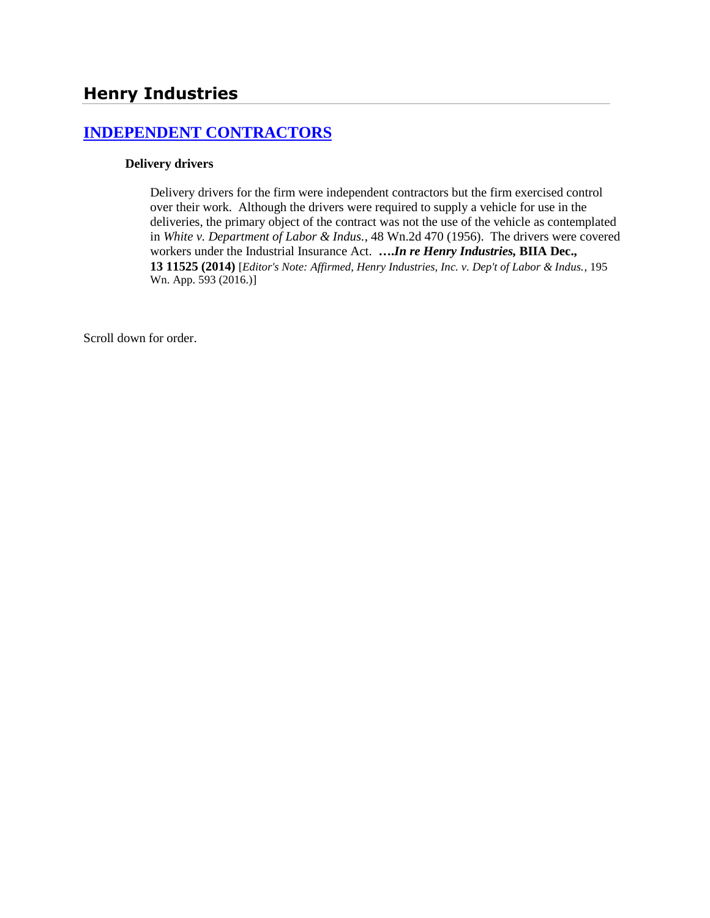# **[INDEPENDENT CONTRACTORS](http://www.biia.wa.gov/SDSubjectIndex.html#INDEPENDENT_CONTRACTORS)**

#### **Delivery drivers**

Delivery drivers for the firm were independent contractors but the firm exercised control over their work. Although the drivers were required to supply a vehicle for use in the deliveries, the primary object of the contract was not the use of the vehicle as contemplated in *White v. Department of Labor & Indus.*, 48 Wn.2d 470 (1956). The drivers were covered workers under the Industrial Insurance Act. **….***In re Henry Industries,* **BIIA Dec., 13 11525 (2014)** [*Editor's Note: Affirmed, Henry Industries, Inc. v. Dep't of Labor & Indus.*, 195 Wn. App. 593 (2016.)]

Scroll down for order.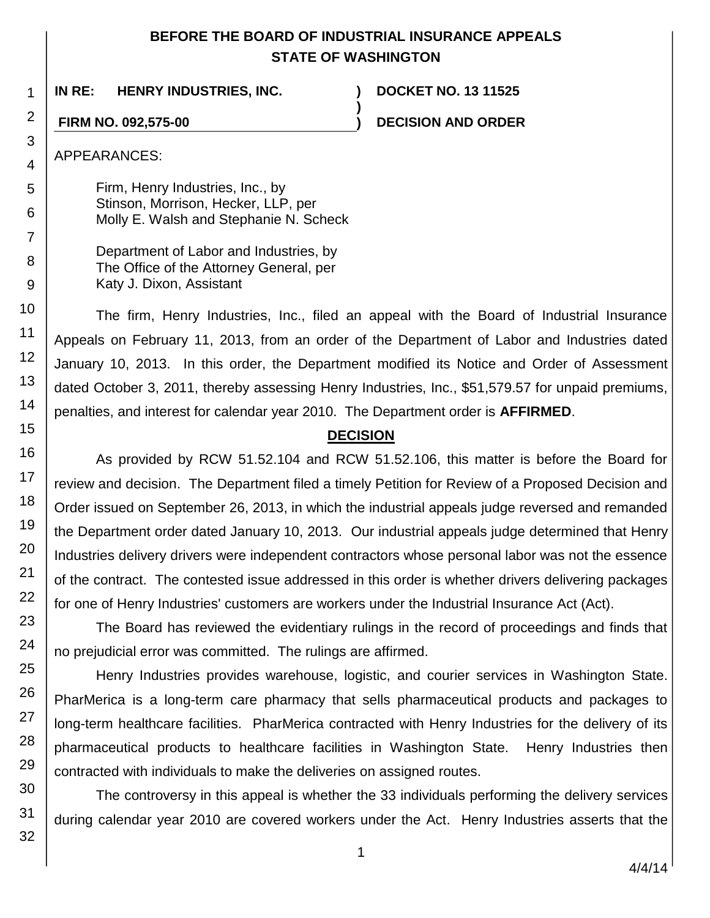## **BEFORE THE BOARD OF INDUSTRIAL INSURANCE APPEALS STATE OF WASHINGTON**

**)**

**IN RE: HENRY INDUSTRIES, INC. ) DOCKET NO. 13 11525**

**FIRM NO. 092,575-00 ) DECISION AND ORDER**

APPEARANCES:

Firm, Henry Industries, Inc., by Stinson, Morrison, Hecker, LLP, per Molly E. Walsh and Stephanie N. Scheck

Department of Labor and Industries, by The Office of the Attorney General, per Katy J. Dixon, Assistant

The firm, Henry Industries, Inc., filed an appeal with the Board of Industrial Insurance Appeals on February 11, 2013, from an order of the Department of Labor and Industries dated January 10, 2013. In this order, the Department modified its Notice and Order of Assessment dated October 3, 2011, thereby assessing Henry Industries, Inc., \$51,579.57 for unpaid premiums, penalties, and interest for calendar year 2010. The Department order is **AFFIRMED**.

## **DECISION**

As provided by RCW 51.52.104 and RCW 51.52.106, this matter is before the Board for review and decision. The Department filed a timely Petition for Review of a Proposed Decision and Order issued on September 26, 2013, in which the industrial appeals judge reversed and remanded the Department order dated January 10, 2013. Our industrial appeals judge determined that Henry Industries delivery drivers were independent contractors whose personal labor was not the essence of the contract. The contested issue addressed in this order is whether drivers delivering packages for one of Henry Industries' customers are workers under the Industrial Insurance Act (Act).

The Board has reviewed the evidentiary rulings in the record of proceedings and finds that no prejudicial error was committed. The rulings are affirmed.

Henry Industries provides warehouse, logistic, and courier services in Washington State. PharMerica is a long-term care pharmacy that sells pharmaceutical products and packages to long-term healthcare facilities. PharMerica contracted with Henry Industries for the delivery of its pharmaceutical products to healthcare facilities in Washington State. Henry Industries then contracted with individuals to make the deliveries on assigned routes.

The controversy in this appeal is whether the 33 individuals performing the delivery services during calendar year 2010 are covered workers under the Act. Henry Industries asserts that the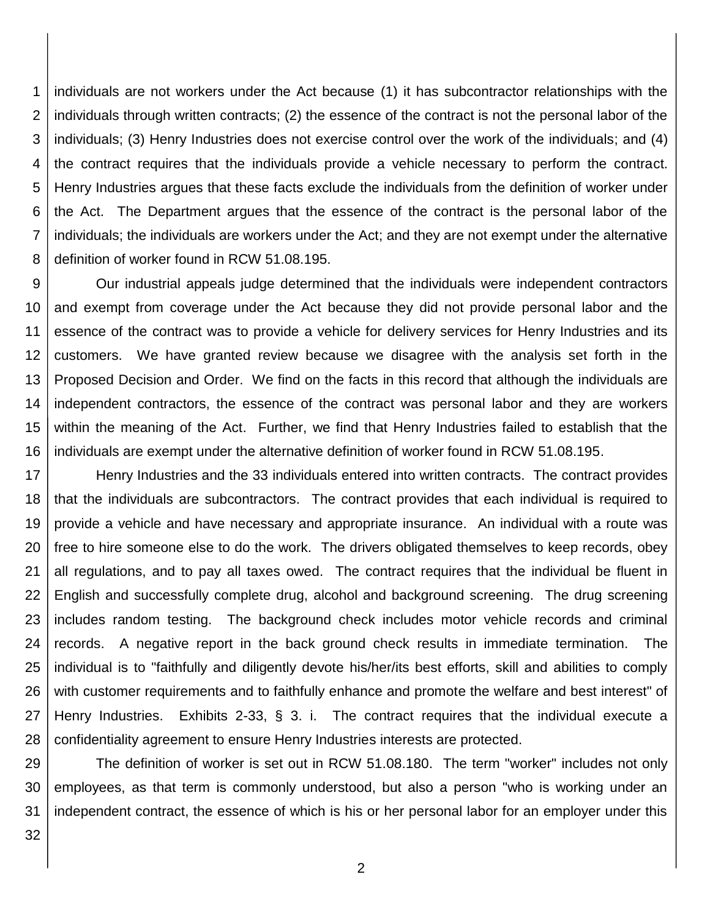1 2 3 4 5 6 7 8 individuals are not workers under the Act because (1) it has subcontractor relationships with the individuals through written contracts; (2) the essence of the contract is not the personal labor of the individuals; (3) Henry Industries does not exercise control over the work of the individuals; and (4) the contract requires that the individuals provide a vehicle necessary to perform the contract. Henry Industries argues that these facts exclude the individuals from the definition of worker under the Act. The Department argues that the essence of the contract is the personal labor of the individuals; the individuals are workers under the Act; and they are not exempt under the alternative definition of worker found in RCW 51.08.195.

9 10 11 12 13 14 15 16 Our industrial appeals judge determined that the individuals were independent contractors and exempt from coverage under the Act because they did not provide personal labor and the essence of the contract was to provide a vehicle for delivery services for Henry Industries and its customers. We have granted review because we disagree with the analysis set forth in the Proposed Decision and Order. We find on the facts in this record that although the individuals are independent contractors, the essence of the contract was personal labor and they are workers within the meaning of the Act. Further, we find that Henry Industries failed to establish that the individuals are exempt under the alternative definition of worker found in RCW 51.08.195.

17 18 19 20 21 22 23 24 25 26 27 28 Henry Industries and the 33 individuals entered into written contracts. The contract provides that the individuals are subcontractors. The contract provides that each individual is required to provide a vehicle and have necessary and appropriate insurance. An individual with a route was free to hire someone else to do the work. The drivers obligated themselves to keep records, obey all regulations, and to pay all taxes owed. The contract requires that the individual be fluent in English and successfully complete drug, alcohol and background screening. The drug screening includes random testing. The background check includes motor vehicle records and criminal records. A negative report in the back ground check results in immediate termination. The individual is to "faithfully and diligently devote his/her/its best efforts, skill and abilities to comply with customer requirements and to faithfully enhance and promote the welfare and best interest" of Henry Industries. Exhibits 2-33, § 3. i. The contract requires that the individual execute a confidentiality agreement to ensure Henry Industries interests are protected.

29 30 31 The definition of worker is set out in RCW 51.08.180. The term "worker" includes not only employees, as that term is commonly understood, but also a person "who is working under an independent contract, the essence of which is his or her personal labor for an employer under this

32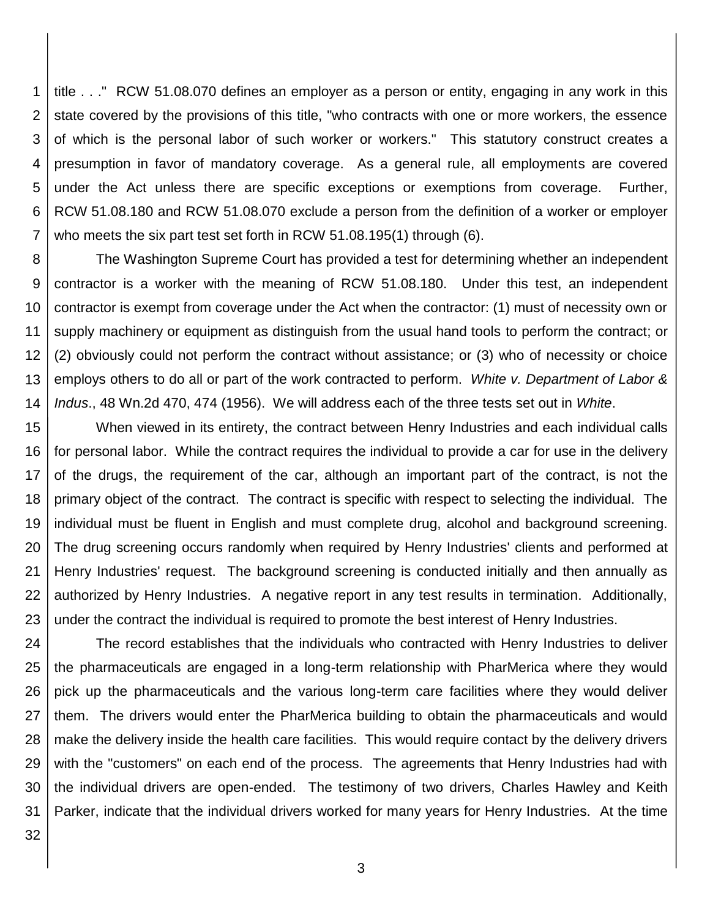1 2 3 4 5 6 7 title . . ." RCW 51.08.070 defines an employer as a person or entity, engaging in any work in this state covered by the provisions of this title, "who contracts with one or more workers, the essence of which is the personal labor of such worker or workers." This statutory construct creates a presumption in favor of mandatory coverage. As a general rule, all employments are covered under the Act unless there are specific exceptions or exemptions from coverage. Further, RCW 51.08.180 and RCW 51.08.070 exclude a person from the definition of a worker or employer who meets the six part test set forth in RCW 51.08.195(1) through (6).

8 9 10 11 12 13 14 The Washington Supreme Court has provided a test for determining whether an independent contractor is a worker with the meaning of RCW 51.08.180. Under this test, an independent contractor is exempt from coverage under the Act when the contractor: (1) must of necessity own or supply machinery or equipment as distinguish from the usual hand tools to perform the contract; or (2) obviously could not perform the contract without assistance; or (3) who of necessity or choice employs others to do all or part of the work contracted to perform. *White v. Department of Labor & Indus*., 48 Wn.2d 470, 474 (1956). We will address each of the three tests set out in *White*.

15 16 17 18 19 20 21 22 23 When viewed in its entirety, the contract between Henry Industries and each individual calls for personal labor. While the contract requires the individual to provide a car for use in the delivery of the drugs, the requirement of the car, although an important part of the contract, is not the primary object of the contract. The contract is specific with respect to selecting the individual. The individual must be fluent in English and must complete drug, alcohol and background screening. The drug screening occurs randomly when required by Henry Industries' clients and performed at Henry Industries' request. The background screening is conducted initially and then annually as authorized by Henry Industries. A negative report in any test results in termination. Additionally, under the contract the individual is required to promote the best interest of Henry Industries.

24 25 26 27 28 29 30 31 The record establishes that the individuals who contracted with Henry Industries to deliver the pharmaceuticals are engaged in a long-term relationship with PharMerica where they would pick up the pharmaceuticals and the various long-term care facilities where they would deliver them. The drivers would enter the PharMerica building to obtain the pharmaceuticals and would make the delivery inside the health care facilities. This would require contact by the delivery drivers with the "customers" on each end of the process. The agreements that Henry Industries had with the individual drivers are open-ended. The testimony of two drivers, Charles Hawley and Keith Parker, indicate that the individual drivers worked for many years for Henry Industries. At the time

32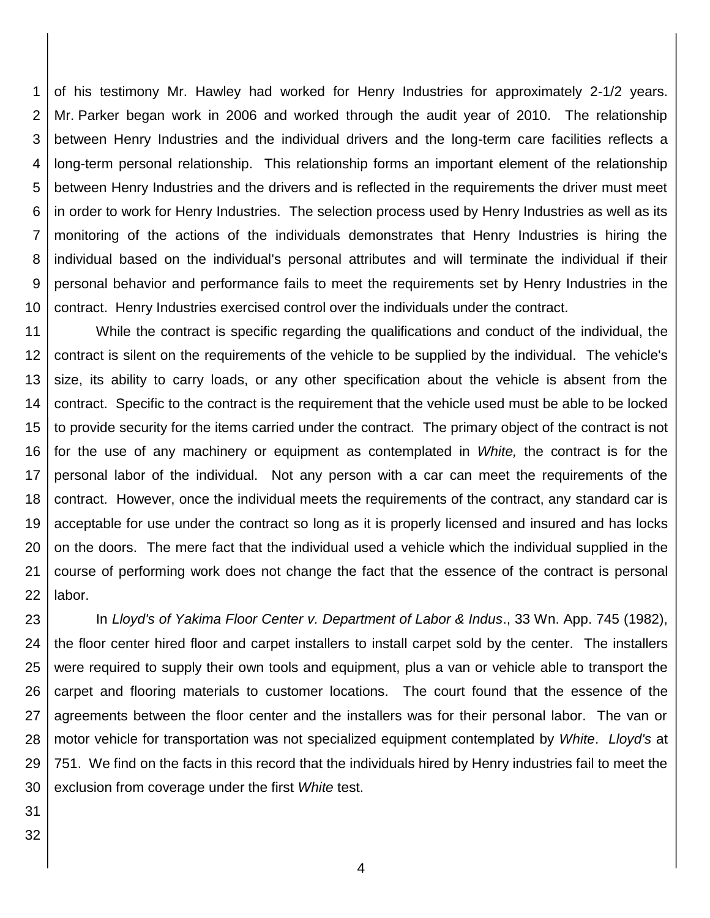1 2 3 4 5 6 7 8 9 10 of his testimony Mr. Hawley had worked for Henry Industries for approximately 2-1/2 years. Mr. Parker began work in 2006 and worked through the audit year of 2010. The relationship between Henry Industries and the individual drivers and the long-term care facilities reflects a long-term personal relationship. This relationship forms an important element of the relationship between Henry Industries and the drivers and is reflected in the requirements the driver must meet in order to work for Henry Industries. The selection process used by Henry Industries as well as its monitoring of the actions of the individuals demonstrates that Henry Industries is hiring the individual based on the individual's personal attributes and will terminate the individual if their personal behavior and performance fails to meet the requirements set by Henry Industries in the contract. Henry Industries exercised control over the individuals under the contract.

11 12 13 14 15 16 17 18 19 20 21 22 While the contract is specific regarding the qualifications and conduct of the individual, the contract is silent on the requirements of the vehicle to be supplied by the individual. The vehicle's size, its ability to carry loads, or any other specification about the vehicle is absent from the contract. Specific to the contract is the requirement that the vehicle used must be able to be locked to provide security for the items carried under the contract. The primary object of the contract is not for the use of any machinery or equipment as contemplated in *White,* the contract is for the personal labor of the individual. Not any person with a car can meet the requirements of the contract. However, once the individual meets the requirements of the contract, any standard car is acceptable for use under the contract so long as it is properly licensed and insured and has locks on the doors. The mere fact that the individual used a vehicle which the individual supplied in the course of performing work does not change the fact that the essence of the contract is personal labor.

23 24 25 26 27 28 29 30 In *Lloyd's of Yakima Floor Center v. Department of Labor & Indus*., 33 Wn. App. 745 (1982), the floor center hired floor and carpet installers to install carpet sold by the center. The installers were required to supply their own tools and equipment, plus a van or vehicle able to transport the carpet and flooring materials to customer locations. The court found that the essence of the agreements between the floor center and the installers was for their personal labor. The van or motor vehicle for transportation was not specialized equipment contemplated by *White*. *Lloyd's* at 751. We find on the facts in this record that the individuals hired by Henry industries fail to meet the exclusion from coverage under the first *White* test.

- 31
- 32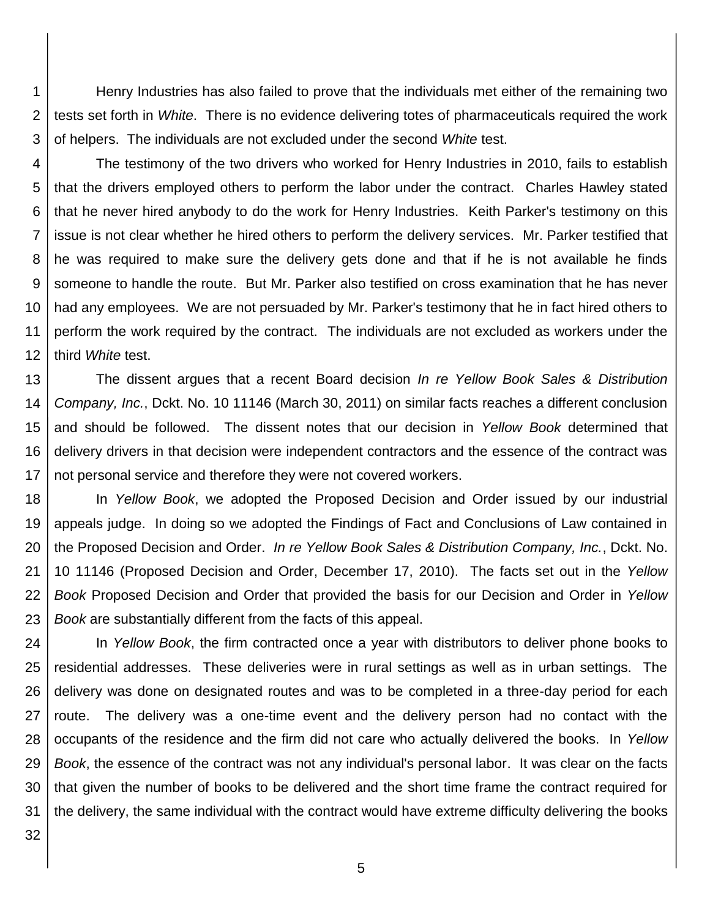1 2 Henry Industries has also failed to prove that the individuals met either of the remaining two tests set forth in *White*. There is no evidence delivering totes of pharmaceuticals required the work of helpers. The individuals are not excluded under the second *White* test.

3

4 5 6 7 8 9 10 11 12 The testimony of the two drivers who worked for Henry Industries in 2010, fails to establish that the drivers employed others to perform the labor under the contract. Charles Hawley stated that he never hired anybody to do the work for Henry Industries. Keith Parker's testimony on this issue is not clear whether he hired others to perform the delivery services. Mr. Parker testified that he was required to make sure the delivery gets done and that if he is not available he finds someone to handle the route. But Mr. Parker also testified on cross examination that he has never had any employees. We are not persuaded by Mr. Parker's testimony that he in fact hired others to perform the work required by the contract. The individuals are not excluded as workers under the third *White* test.

13 14 15 16 17 The dissent argues that a recent Board decision *In re Yellow Book Sales & Distribution Company, Inc.*, Dckt. No. 10 11146 (March 30, 2011) on similar facts reaches a different conclusion and should be followed. The dissent notes that our decision in *Yellow Book* determined that delivery drivers in that decision were independent contractors and the essence of the contract was not personal service and therefore they were not covered workers.

18 19 20 21 22 23 In *Yellow Book*, we adopted the Proposed Decision and Order issued by our industrial appeals judge. In doing so we adopted the Findings of Fact and Conclusions of Law contained in the Proposed Decision and Order. *In re Yellow Book Sales & Distribution Company, Inc.*, Dckt. No. 10 11146 (Proposed Decision and Order, December 17, 2010). The facts set out in the *Yellow Book* Proposed Decision and Order that provided the basis for our Decision and Order in *Yellow Book* are substantially different from the facts of this appeal.

24 25 26 27 28 29 30 31 In *Yellow Book*, the firm contracted once a year with distributors to deliver phone books to residential addresses. These deliveries were in rural settings as well as in urban settings. The delivery was done on designated routes and was to be completed in a three-day period for each route. The delivery was a one-time event and the delivery person had no contact with the occupants of the residence and the firm did not care who actually delivered the books. In *Yellow Book*, the essence of the contract was not any individual's personal labor. It was clear on the facts that given the number of books to be delivered and the short time frame the contract required for the delivery, the same individual with the contract would have extreme difficulty delivering the books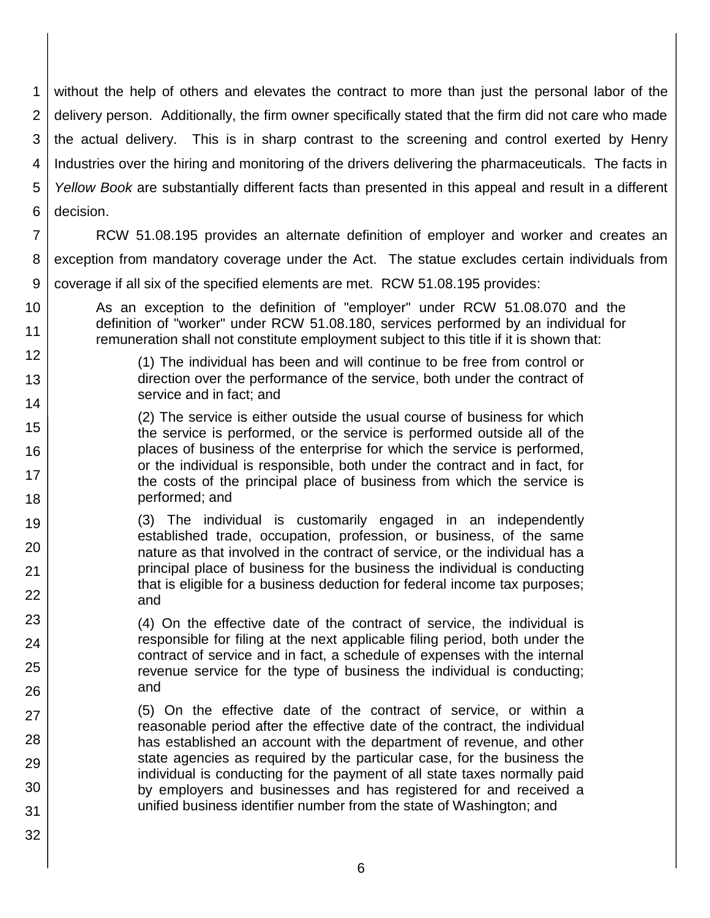1 2 3 4 5 6 without the help of others and elevates the contract to more than just the personal labor of the delivery person. Additionally, the firm owner specifically stated that the firm did not care who made the actual delivery. This is in sharp contrast to the screening and control exerted by Henry Industries over the hiring and monitoring of the drivers delivering the pharmaceuticals. The facts in *Yellow Book* are substantially different facts than presented in this appeal and result in a different decision.

7 8 9 RCW 51.08.195 provides an alternate definition of employer and worker and creates an exception from mandatory coverage under the Act. The statue excludes certain individuals from coverage if all six of the specified elements are met. RCW 51.08.195 provides:

10 11 As an exception to the definition of "employer" under RCW 51.08.070 and the definition of "worker" under RCW 51.08.180, services performed by an individual for remuneration shall not constitute employment subject to this title if it is shown that:

> (1) The individual has been and will continue to be free from control or direction over the performance of the service, both under the contract of service and in fact; and

15 16 17 18 (2) The service is either outside the usual course of business for which the service is performed, or the service is performed outside all of the places of business of the enterprise for which the service is performed, or the individual is responsible, both under the contract and in fact, for the costs of the principal place of business from which the service is performed; and

12

13

14

23

24

25

26

27

28

29 30

31

32

19 20 21 22 (3) The individual is customarily engaged in an independently established trade, occupation, profession, or business, of the same nature as that involved in the contract of service, or the individual has a principal place of business for the business the individual is conducting that is eligible for a business deduction for federal income tax purposes; and

> (4) On the effective date of the contract of service, the individual is responsible for filing at the next applicable filing period, both under the contract of service and in fact, a schedule of expenses with the internal revenue service for the type of business the individual is conducting; and

(5) On the effective date of the contract of service, or within a reasonable period after the effective date of the contract, the individual has established an account with the department of revenue, and other state agencies as required by the particular case, for the business the individual is conducting for the payment of all state taxes normally paid by employers and businesses and has registered for and received a unified business identifier number from the state of Washington; and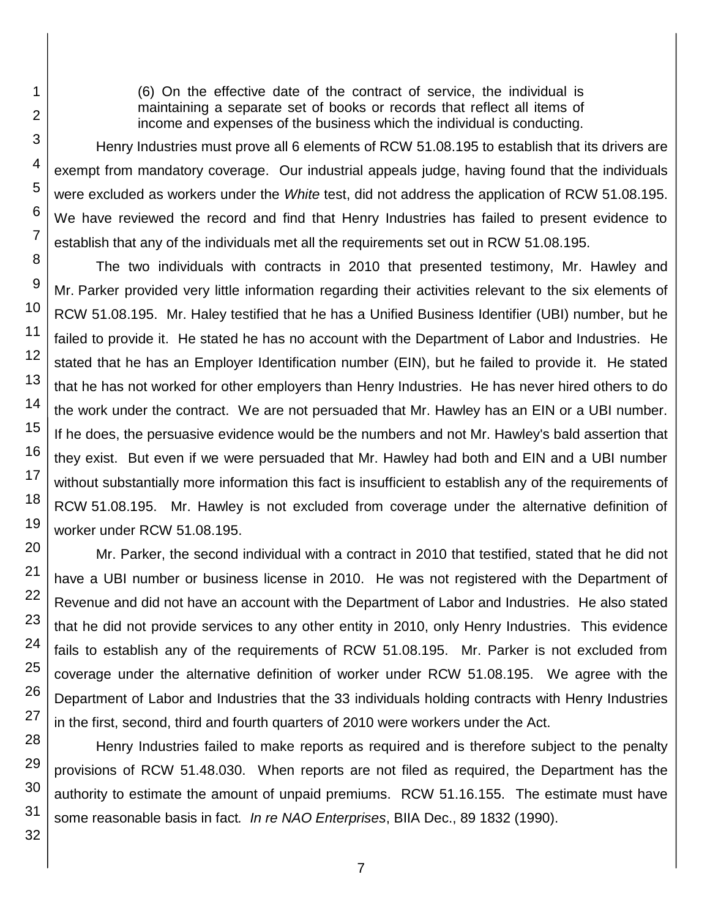(6) On the effective date of the contract of service, the individual is maintaining a separate set of books or records that reflect all items of income and expenses of the business which the individual is conducting.

Henry Industries must prove all 6 elements of RCW 51.08.195 to establish that its drivers are exempt from mandatory coverage. Our industrial appeals judge, having found that the individuals were excluded as workers under the *White* test, did not address the application of RCW 51.08.195. We have reviewed the record and find that Henry Industries has failed to present evidence to establish that any of the individuals met all the requirements set out in RCW 51.08.195.

The two individuals with contracts in 2010 that presented testimony, Mr. Hawley and Mr. Parker provided very little information regarding their activities relevant to the six elements of RCW 51.08.195. Mr. Haley testified that he has a Unified Business Identifier (UBI) number, but he failed to provide it. He stated he has no account with the Department of Labor and Industries. He stated that he has an Employer Identification number (EIN), but he failed to provide it. He stated that he has not worked for other employers than Henry Industries. He has never hired others to do the work under the contract. We are not persuaded that Mr. Hawley has an EIN or a UBI number. If he does, the persuasive evidence would be the numbers and not Mr. Hawley's bald assertion that they exist. But even if we were persuaded that Mr. Hawley had both and EIN and a UBI number without substantially more information this fact is insufficient to establish any of the requirements of RCW 51.08.195. Mr. Hawley is not excluded from coverage under the alternative definition of worker under RCW 51.08.195.

Mr. Parker, the second individual with a contract in 2010 that testified, stated that he did not have a UBI number or business license in 2010. He was not registered with the Department of Revenue and did not have an account with the Department of Labor and Industries. He also stated that he did not provide services to any other entity in 2010, only Henry Industries. This evidence fails to establish any of the requirements of RCW 51.08.195. Mr. Parker is not excluded from coverage under the alternative definition of worker under RCW 51.08.195. We agree with the Department of Labor and Industries that the 33 individuals holding contracts with Henry Industries in the first, second, third and fourth quarters of 2010 were workers under the Act.

Henry Industries failed to make reports as required and is therefore subject to the penalty provisions of RCW 51.48.030. When reports are not filed as required, the Department has the authority to estimate the amount of unpaid premiums. RCW 51.16.155. The estimate must have some reasonable basis in fact*. In re NAO Enterprises*, BIIA Dec., 89 1832 (1990).

1

2

3

4

5

6

7

8

9

10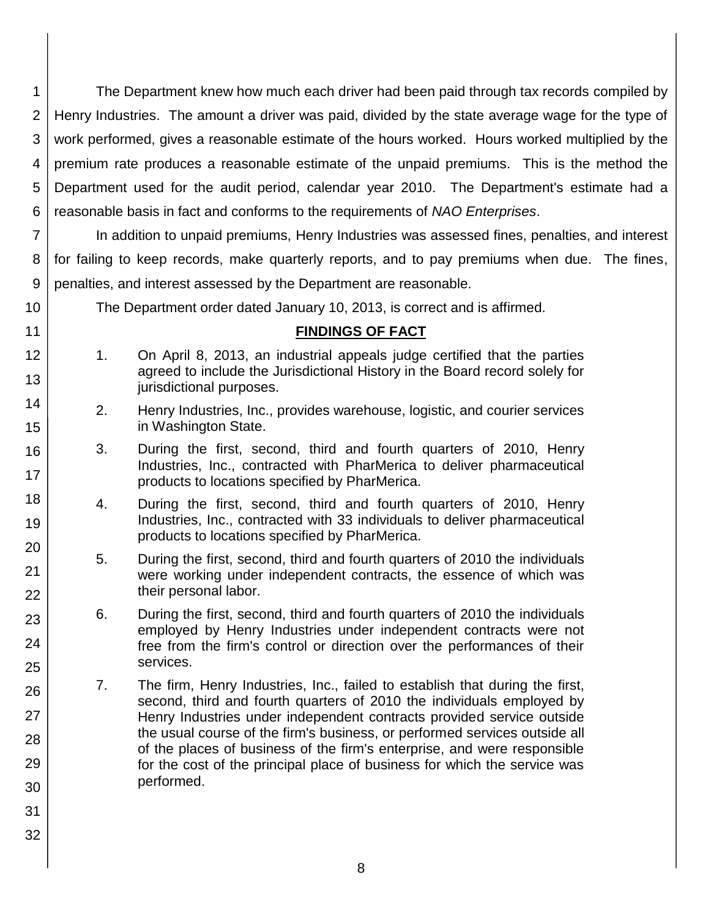1 2 3 4 5 6 The Department knew how much each driver had been paid through tax records compiled by Henry Industries. The amount a driver was paid, divided by the state average wage for the type of work performed, gives a reasonable estimate of the hours worked. Hours worked multiplied by the premium rate produces a reasonable estimate of the unpaid premiums. This is the method the Department used for the audit period, calendar year 2010. The Department's estimate had a reasonable basis in fact and conforms to the requirements of *NAO Enterprises*.

7 8 9 In addition to unpaid premiums, Henry Industries was assessed fines, penalties, and interest for failing to keep records, make quarterly reports, and to pay premiums when due. The fines, penalties, and interest assessed by the Department are reasonable.

The Department order dated January 10, 2013, is correct and is affirmed.

## **FINDINGS OF FACT**

- 1. On April 8, 2013, an industrial appeals judge certified that the parties agreed to include the Jurisdictional History in the Board record solely for jurisdictional purposes.
	- 2. Henry Industries, Inc., provides warehouse, logistic, and courier services in Washington State.
	- 3. During the first, second, third and fourth quarters of 2010, Henry Industries, Inc., contracted with PharMerica to deliver pharmaceutical products to locations specified by PharMerica.
	- 4. During the first, second, third and fourth quarters of 2010, Henry Industries, Inc., contracted with 33 individuals to deliver pharmaceutical products to locations specified by PharMerica.
	- 5. During the first, second, third and fourth quarters of 2010 the individuals were working under independent contracts, the essence of which was their personal labor.
	- 6. During the first, second, third and fourth quarters of 2010 the individuals employed by Henry Industries under independent contracts were not free from the firm's control or direction over the performances of their services.
	- 7. The firm, Henry Industries, Inc., failed to establish that during the first, second, third and fourth quarters of 2010 the individuals employed by Henry Industries under independent contracts provided service outside the usual course of the firm's business, or performed services outside all of the places of business of the firm's enterprise, and were responsible for the cost of the principal place of business for which the service was performed.
- 30 31

10

11 12

13

14

15

16

17

18

19

20

21

22

23

24

25

26

27

28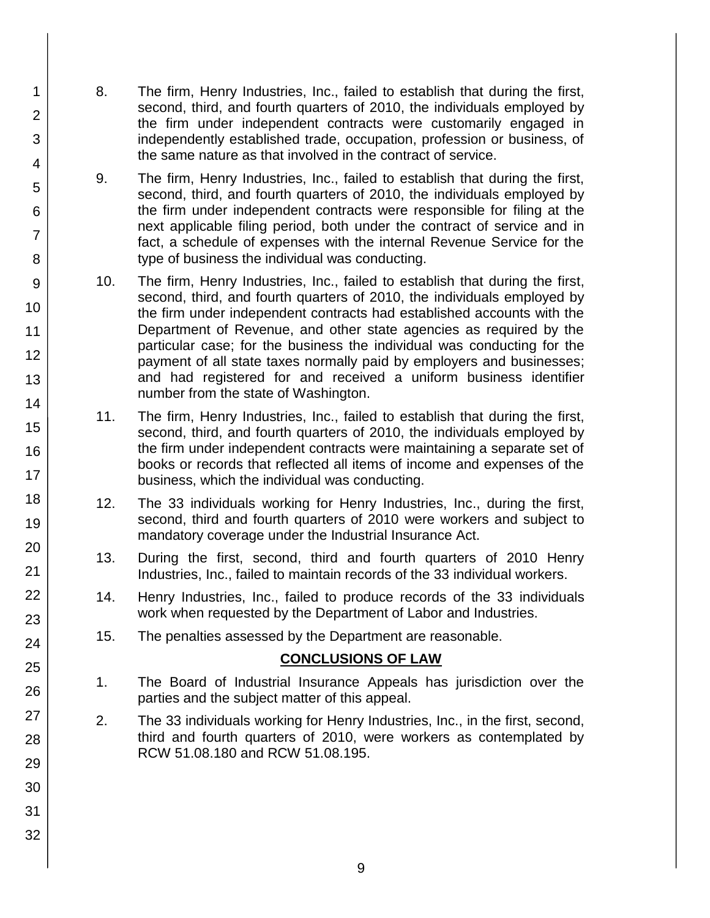- 8. The firm, Henry Industries, Inc., failed to establish that during the first, second, third, and fourth quarters of 2010, the individuals employed by the firm under independent contracts were customarily engaged in independently established trade, occupation, profession or business, of the same nature as that involved in the contract of service.
	- 9. The firm, Henry Industries, Inc., failed to establish that during the first, second, third, and fourth quarters of 2010, the individuals employed by the firm under independent contracts were responsible for filing at the next applicable filing period, both under the contract of service and in fact, a schedule of expenses with the internal Revenue Service for the type of business the individual was conducting.
- 10. The firm, Henry Industries, Inc., failed to establish that during the first, second, third, and fourth quarters of 2010, the individuals employed by the firm under independent contracts had established accounts with the Department of Revenue, and other state agencies as required by the particular case; for the business the individual was conducting for the payment of all state taxes normally paid by employers and businesses; and had registered for and received a uniform business identifier number from the state of Washington.
- 11. The firm, Henry Industries, Inc., failed to establish that during the first, second, third, and fourth quarters of 2010, the individuals employed by the firm under independent contracts were maintaining a separate set of books or records that reflected all items of income and expenses of the business, which the individual was conducting.
- 12. The 33 individuals working for Henry Industries, Inc., during the first, second, third and fourth quarters of 2010 were workers and subject to mandatory coverage under the Industrial Insurance Act.
- 13. During the first, second, third and fourth quarters of 2010 Henry Industries, Inc., failed to maintain records of the 33 individual workers.
- 14. Henry Industries, Inc., failed to produce records of the 33 individuals work when requested by the Department of Labor and Industries.
- 15. The penalties assessed by the Department are reasonable.

## **CONCLUSIONS OF LAW**

- 1. The Board of Industrial Insurance Appeals has jurisdiction over the parties and the subject matter of this appeal.
- 2. The 33 individuals working for Henry Industries, Inc., in the first, second, third and fourth quarters of 2010, were workers as contemplated by RCW 51.08.180 and RCW 51.08.195.

1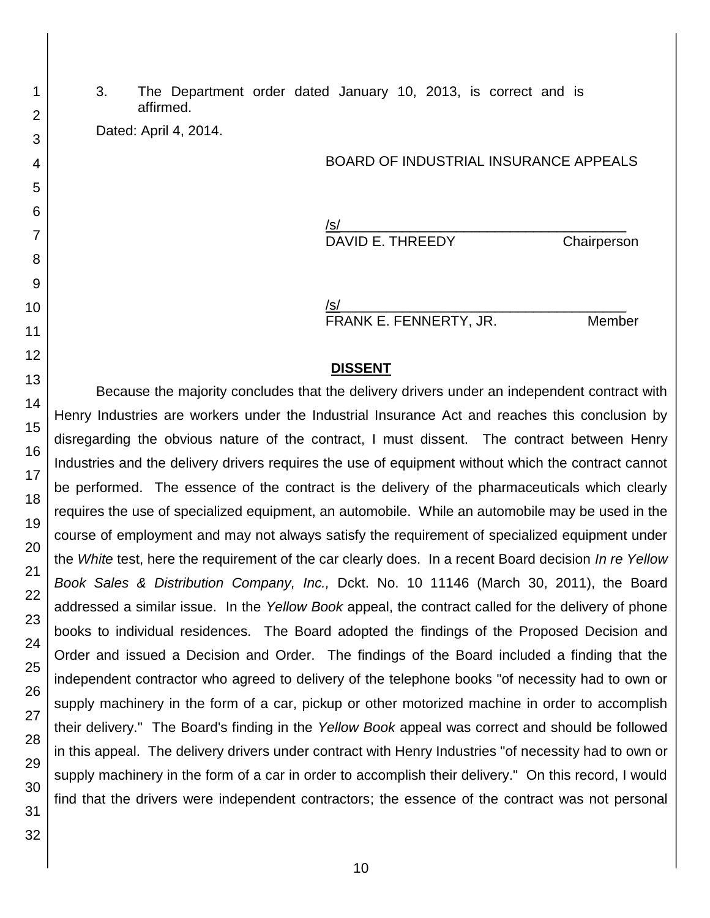3. The Department order dated January 10, 2013, is correct and is affirmed.

Dated: April 4, 2014.

#### BOARD OF INDUSTRIAL INSURANCE APPEALS

/s/\_\_\_\_\_\_\_\_\_\_\_\_\_\_\_\_\_\_\_\_\_\_\_\_\_\_\_\_\_\_\_\_\_\_\_\_\_ DAVID E. THREEDY Chairperson

/s/\_\_\_\_\_\_\_\_\_\_\_\_\_\_\_\_\_\_\_\_\_\_\_\_\_\_\_\_\_\_\_\_\_\_\_\_\_ FRANK E. FENNERTY, JR. Member

#### **DISSENT**

Because the majority concludes that the delivery drivers under an independent contract with Henry Industries are workers under the Industrial Insurance Act and reaches this conclusion by disregarding the obvious nature of the contract, I must dissent. The contract between Henry Industries and the delivery drivers requires the use of equipment without which the contract cannot be performed. The essence of the contract is the delivery of the pharmaceuticals which clearly requires the use of specialized equipment, an automobile. While an automobile may be used in the course of employment and may not always satisfy the requirement of specialized equipment under the *White* test, here the requirement of the car clearly does. In a recent Board decision *In re Yellow Book Sales & Distribution Company, Inc.,* Dckt. No. 10 11146 (March 30, 2011), the Board addressed a similar issue. In the *Yellow Book* appeal, the contract called for the delivery of phone books to individual residences. The Board adopted the findings of the Proposed Decision and Order and issued a Decision and Order. The findings of the Board included a finding that the independent contractor who agreed to delivery of the telephone books "of necessity had to own or supply machinery in the form of a car, pickup or other motorized machine in order to accomplish their delivery." The Board's finding in the *Yellow Book* appeal was correct and should be followed in this appeal. The delivery drivers under contract with Henry Industries "of necessity had to own or supply machinery in the form of a car in order to accomplish their delivery." On this record, I would find that the drivers were independent contractors; the essence of the contract was not personal